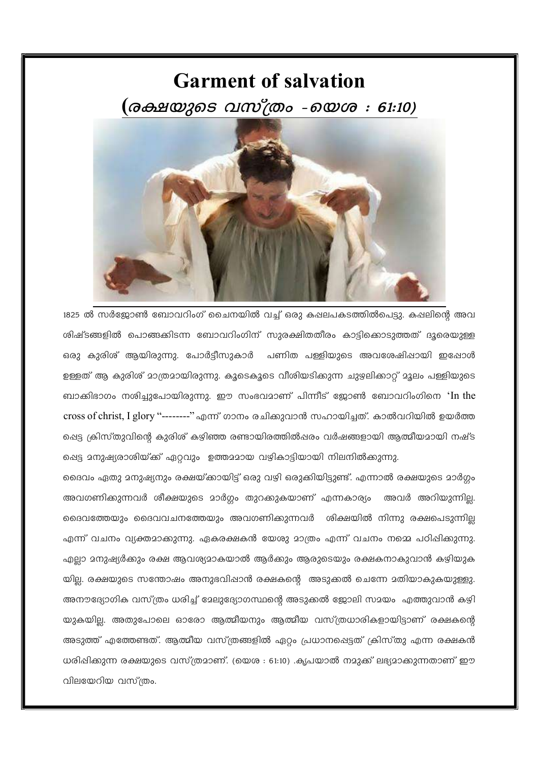

1825 ൽ സർജ്ജോൺ ബോവറിംഗ് ചൈനയിൽ വച്ച് ഒരു കഷലപകടത്തിൽപെട്ടു. കഷലിന്റെ അവ ശിഷ്ടങ്ങളിൽ പൊങ്ങക്കിടന്ന ബോവറിംഗിന് സുരക്ഷിതതീരം കാട്ടിക്കൊടുത്തത് ദൂരെയുള്ള ഒരു കുരിശ് ആയിരുന്നു. പോർട്ടീസുകാർ പണിത പള്ളിയുടെ അവശേഷിഷായി ഇഷോൾ ഉള്ളത് ആ കുരിശ് മാത്രമായിരുന്നു. കൂടെകൂടെ വീശിയടിക്കുന്ന ചുഴലിക്കാറ് മൂലം പള്ളിയുടെ ബാക്കിഭാഗം നശിച്ചുപോയിരുന്നു. ഈ സംഭവമാണ് പിന്നീട് ജോൺ ബോവറിംഗിനെ 'In the cross of christ, I glory "--------" എന്ന് ഗാനം രചിക്കുവാൻ സഹായിച്ചത്. കാൽവറിയിൽ ഉയർത്ത പ്പെട്ട ക്രിസ്തുവിന്റെ കുരിശ് കഴിഞ്ഞ രണ്ടായിരത്തിൽപ്പരം വർഷങ്ങളായി ആത്മീയമായി നഷ്ട ഷെട്ട മനുഷ്യരാശിയ്ക്ക് ഏറ്റവും ഉത്തമമായ വഴികാട്ടിയായി നിലനിൽക്കുന്നു.

ദൈവം ഏതു മനുഷ്യനും രക്ഷയ്ക്കായിട്ട് ഒരു വഴി ഒരുക്കിയിട്ടുണ്ട്. എന്നാൽ രക്ഷയുടെ മാർഗ്ഗം അവഗണിക്കുന്നവർ ശീക്ഷയുടെ മാർഗ്ഗം തുറക്കുകയാണ് എന്നകാര്യം അവർ അറിയുന്നില്ല. ദൈവത്തേയും ദൈവവചനത്തേയും അവഗണിക്കുന്നവർ ശിക്ഷയിൽ നിന്നു രക്ഷപെടുന്നില്ല എന്ന് വചനം വ്യക്തമാക്കുന്നു. ഏകരക്ഷകൻ യേശു മാത്രം എന്ന് വചനം നമ്മെ പഠിഷിക്കുന്നു. എല്ലാ മനുഷ്യർക്കും രക്ഷ ആവശ്യമാകയാൽ ആർക്കും ആരുടെയും രക്ഷകനാകുവാൻ കഴിയുക യില്ല. രക്ഷയുടെ സന്തോഷം അനുഭവിഷാൻ രക്ഷകന്റെ അടുക്കൽ ചെന്നേ മതിയാകുകയുള്ളു. അനൗദ്യോഗിക വസ്ത്രം ധരിച്ച് മേലുദ്യോഗസ്ഥന്റെ അടുക്കൽ ജോലി സമയം എത്തുവാൻ കഴി യുകയില്ല. അതുപോലെ ഓരോ ആത്മീയനും ആത്മീയ വസ്ത്രധാരികളായിട്ടാണ് രക്ഷകന്റെ അടുത്ത് എത്തേണ്ടത്. ആത്മീയ വസ്ത്രങ്ങളിൽ ഏറ്റം പ്രധാനപ്പെട്ടത് ക്രിസ്തു എന്ന രക്ഷകൻ ധരിപ്പിക്കുന്ന രക്ഷയുടെ വസ്ത്രമാണ്. (യെശ : 61:10) .കൃപയാൽ നമുക്ക് ലഭ്യമാക്കുന്നതാണ് ഈ വിലയേറിയ വസ്ത്രം.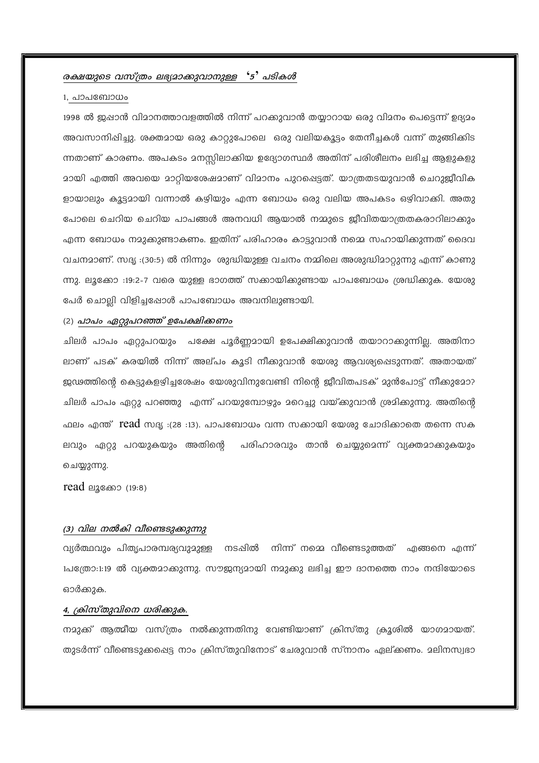# രക്ഷയുടെ വസ്ത്രം ലഭ്യമാക്കുവാനുള്ള '5' പടികൾ

#### 1, പാപബോധം

1998 ൽ ജുപ്പാൻ വിമാനത്താവളത്തിൽ നിന്ന് പറക്കുവാൻ തയ്യാറായ ഒരു വിമനം പെട്ടെന്ന് ഉദ്യമം അവസാനിഷിച്ചു. ശക്തമായ ഒരു കാറ്റുപോലെ ഒരു വലിയകൂട്ടം തേനീച്ചകൾ വന്ന് തുങ്ങിക്കിട ന്നതാണ് കാരണം. അപകടം മനസ്സിലാക്കിയ ഉദ്യോഗസ്ഥർ അതിന് പരിശീലനം ലഭിച്ച ആളുകളു മായി എത്തി അവയെ മാറ്റിയശേഷമാണ് വിമാനം പുറപ്പെട്ടത്. യാത്രതടയുവാൻ ചെറുജീവിക ളായാലും കൂട്ടമായി വന്നാൽ കഴിയും എന്ന ബോധം ഒരു വലിയ അപകടം ഒഴിവാക്കി. അതു പോലെ ചെറിയ ചെറിയ പാപങ്ങൾ അനവധി ആയാൽ നമ്മുടെ ജീവിതയാത്രതകരാറിലാക്കും എന്ന ബോധം നമുക്കുണ്ടാകണം. ഇതിന് പരിഹാരം കാട്ടുവാൻ നമ്മെ സഹായിക്കുന്നത് ദൈവ വചനമാണ്. സദൃ :(30:5) ൽ നിന്നും ശുദ്ധിയുള്ള വചനം നമ്മിലെ അശുദ്ധിമാറ്റുന്നു എന്ന് കാണു ന്നു. ലൂക്കോ :19:2-7 വരെ യുള്ള ഭാഗത്ത് സക്കായികുണ്ടായ പാപബോധം ശ്രദ്ധികുക. യേശു പേർ ചൊല്ലി വിളിച്ചപ്പോൾ പാപബോധം അവനിലുണ്ടായി.

### (2) പാപം ഏറ്റുപറഞ്ഞ് ഉപേക്ഷിക്കണം

ചിലർ പാപം ഏറ്റുപറയും പക്ഷേ പൂർണ്ണമായി ഉപേക്ഷിക്കുവാൻ തയാറാക്കുന്നില്ല. അതിനാ ലാണ് പടക് കരയിൽ നിന്ന് അല്പം കൂടി നീക്കുവാൻ യേശു ആവശ്യപ്പെടുന്നത്. അതായത് ജഢത്തിന്റെ കെട്ടുകളഴിച്ചശേഷം യേശുവിനുവേണ്ടി നിന്റെ ജീവിതപടക് മുൻപോട്ട് നീക്കുമോ? ചിലർ പാപം ഏറ്റു പറഞ്ഞു എന്ന് പറയുമ്പോഴും മറെച്ചു വയ്ക്കുവാൻ ശ്രമിക്കുന്നു. അതിന്റെ ലവും ഏറ്റു പറയുകയും അതിന്റെ പരിഹാരവും താൻ ചെയ്യുമെന്ന് വ്യക്തമാക്കുകയും ചെയ്യുന്നു.

 $read$  ലൂക്കോ $(19:8)$ 

## (3) വില നൽകി വീണ്ടെടുക്കുന്നു

വ്യർത്ഥവും പിതൃപാരമ്പര്യവുമുള്ള നടപ്പിൽ നിന്ന് നമ്മെ വീണ്ടെടുത്തത് എങ്ങനെ എന്ന് 1പത്രോ:1:19 ൽ വ്യക്തമാക്കുന്നു. സൗജന്യമായി നമുക്കു ലഭിച്ച ഈ ദാനത്തെ നാം നന്ദിയോടെ ഓർക്കുക.

#### 4, ക്രിസ്തുവിനെ ധരിക്കുക.

നമുക്ക് ആത്മീയ വസ്ത്രം നൽക്കുന്നതിനു വേണ്ടിയാണ് ക്രിസ്തു ക്രൂശിൽ യാഗമായത്. തുടർന്ന് വീണ്ടെടുക്കപ്പെട്ട നാം ക്രിസ്തുവിനോട് ചേരുവാൻ സ്നാനം ഏല്ക്കണം. മലിനസ്വഭാ